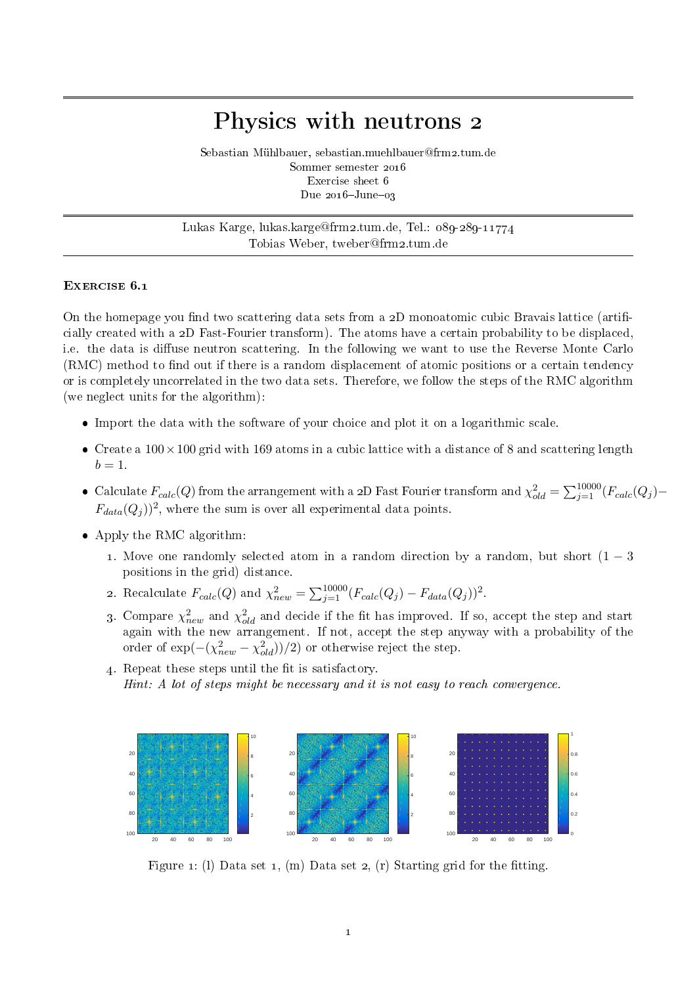## Physics with neutrons 2

Sebastian Mühlbauer, sebastian.muehlbauer@frm2.tum.de Sommer semester 2016 Exercise sheet 6 Due  $2016 - \text{June} - 03$ 

Lukas Karge, lukas.karge@frm2.tum.de, Tel.: 089-289-11774 Tobias Weber, tweber@frm2.tum.de

## EXERCISE 6.1

On the homepage you find two scattering data sets from a  $2D$  monoatomic cubic Bravais lattice (artificially created with a 2D Fast-Fourier transform). The atoms have a certain probability to be displaced, i.e. the data is diffuse neutron scattering. In the following we want to use the Reverse Monte Carlo  $(RMC)$  method to find out if there is a random displacement of atomic positions or a certain tendency or is completely uncorrelated in the two data sets. Therefore, we follow the steps of the RMC algorithm (we neglect units for the algorithm):

- Import the data with the software of your choice and plot it on a logarithmic scale.
- Create a  $100 \times 100$  grid with 169 atoms in a cubic lattice with a distance of 8 and scattering length  $b=1$ .
- Calculate  $F_{calc}(Q)$  from the arrangement with a 2D Fast Fourier transform and  $\chi^2_{old} = \sum_{j=1}^{10000} (F_{calc}(Q_j) F_{data}(Q_j)$ <sup>2</sup>, where the sum is over all experimental data points.
- Apply the RMC algorithm:
	- 1. Move one randomly selected atom in a random direction by a random, but short  $(1 3)$ positions in the grid) distance.
	- 2. Recalculate  $F_{calc}(Q)$  and  $\chi^2_{new} = \sum_{j=1}^{10000} (F_{calc}(Q_j) F_{data}(Q_j))^2$ .
	- 3. Compare  $\chi^2_{new}$  and  $\chi^2_{old}$  and decide if the fit has improved. If so, accept the step and start again with the new arrangement. If not, accept the step anyway with a probability of the order of  $\exp(-( \chi^2_{new} - \chi^2_{old}))/2)$  or otherwise reject the step.
	- 4. Repeat these steps until the fit is satisfactory. Hint: A lot of steps might be necessary and it is not easy to reach convergence.



Figure 1: (1) Data set 1, (m) Data set 2, (r) Starting grid for the fitting.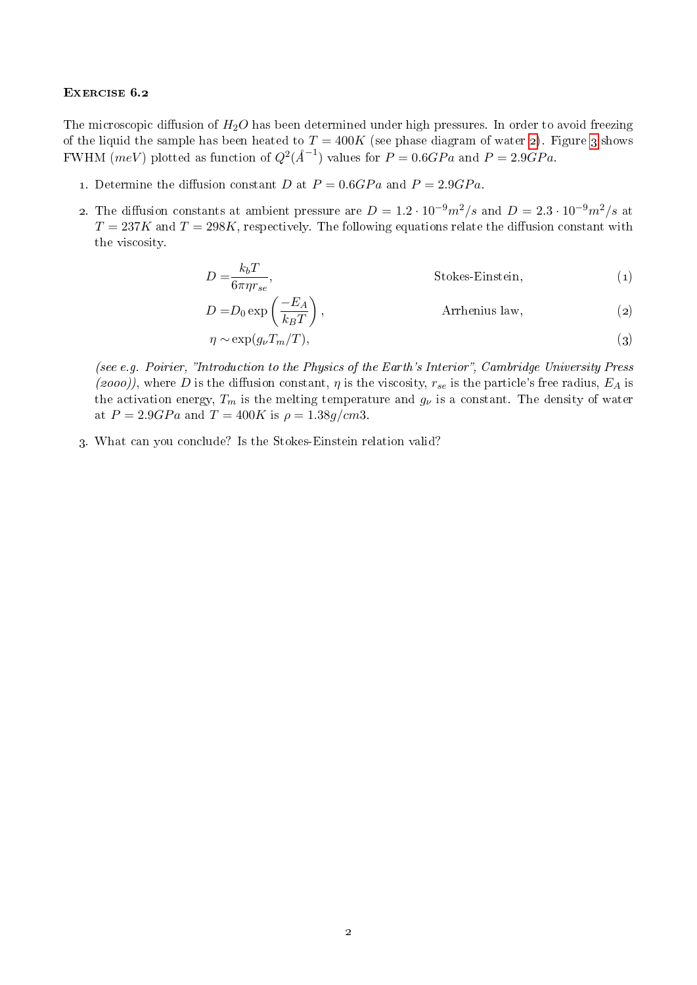## EXERCISE 6.2

The microscopic diffusion of  $H_2O$  has been determined under high pressures. In order to avoid freezing of the liquid the sample has been heated to  $T = 400K$  (see phase diagram of water [2\)](#page-2-0). Figure [3](#page-2-1) shows FWHM (meV) plotted as function of  $Q^2(A^{-1})$  values for  $P = 0.6GPa$  and  $P = 2.9GPa$ .

- 1. Determine the diffusion constant D at  $P = 0.6GPa$  and  $P = 2.9GPa$ .
- 2. The diffusion constants at ambient pressure are  $D = 1.2 \cdot 10^{-9} m^2/s$  and  $D = 2.3 \cdot 10^{-9} m^2/s$  at  $T = 237K$  and  $T = 298K$ , respectively. The following equations relate the diffusion constant with the viscosity.

$$
D = \frac{k_b T}{6\pi \eta r_{se}},
$$
 Stokes-Einstein, (1)

$$
D = D_0 \exp\left(\frac{-E_A}{k_B T}\right),\tag{2}
$$
 Arrhenius law,

$$
\eta \sim \exp(g_{\nu} T_m/T),\tag{3}
$$

(see e.g. Poirier, "Introduction to the Physics of the Earth's Interior", Cambridge University Press (2000)), where D is the diffusion constant,  $\eta$  is the viscosity,  $r_{se}$  is the particle's free radius,  $E_A$  is the activation energy,  $T_m$  is the melting temperature and  $g_{\nu}$  is a constant. The density of water at  $P = 2.9GPa$  and  $T = 400K$  is  $\rho = 1.38g/cm3$ .

3. What can you conclude? Is the Stokes-Einstein relation valid?